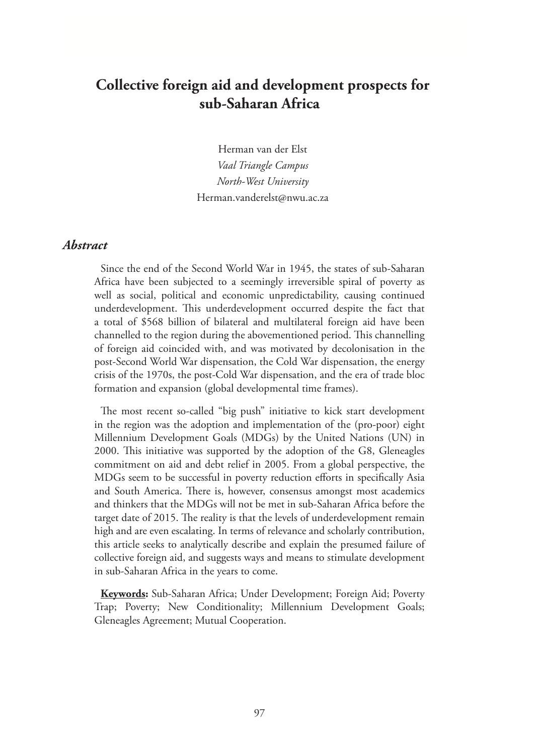# **Collective foreign aid and development prospects for sub-Saharan Africa**

Herman van der Elst *Vaal Triangle Campus North-West University* Herman.vanderelst@nwu.ac.za

#### *Abstract*

Since the end of the Second World War in 1945, the states of sub-Saharan Africa have been subjected to a seemingly irreversible spiral of poverty as well as social, political and economic unpredictability, causing continued underdevelopment. This underdevelopment occurred despite the fact that a total of \$568 billion of bilateral and multilateral foreign aid have been channelled to the region during the abovementioned period. This channelling of foreign aid coincided with, and was motivated by decolonisation in the post-Second World War dispensation, the Cold War dispensation, the energy crisis of the 1970s, the post-Cold War dispensation, and the era of trade bloc formation and expansion (global developmental time frames).

The most recent so-called "big push" initiative to kick start development in the region was the adoption and implementation of the (pro-poor) eight Millennium Development Goals (MDGs) by the United Nations (UN) in 2000. This initiative was supported by the adoption of the G8, Gleneagles commitment on aid and debt relief in 2005. From a global perspective, the MDGs seem to be successful in poverty reduction efforts in specifically Asia and South America. There is, however, consensus amongst most academics and thinkers that the MDGs will not be met in sub-Saharan Africa before the target date of 2015. The reality is that the levels of underdevelopment remain high and are even escalating. In terms of relevance and scholarly contribution, this article seeks to analytically describe and explain the presumed failure of collective foreign aid, and suggests ways and means to stimulate development in sub-Saharan Africa in the years to come.

**Keywords:** Sub-Saharan Africa; Under Development; Foreign Aid; Poverty Trap; Poverty; New Conditionality; Millennium Development Goals; Gleneagles Agreement; Mutual Cooperation.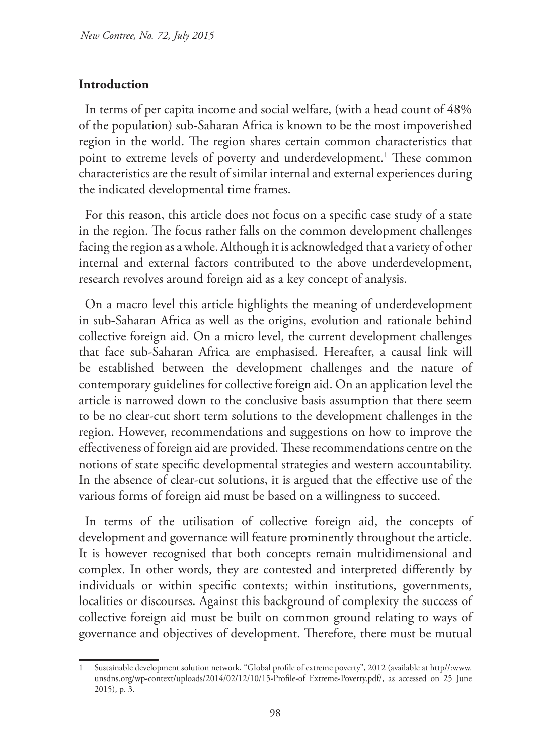### **Introduction**

In terms of per capita income and social welfare, (with a head count of 48% of the population) sub-Saharan Africa is known to be the most impoverished region in the world. The region shares certain common characteristics that point to extreme levels of poverty and underdevelopment.<sup>1</sup> These common characteristics are the result of similar internal and external experiences during the indicated developmental time frames.

For this reason, this article does not focus on a specific case study of a state in the region. The focus rather falls on the common development challenges facing the region as a whole. Although it is acknowledged that a variety of other internal and external factors contributed to the above underdevelopment, research revolves around foreign aid as a key concept of analysis.

On a macro level this article highlights the meaning of underdevelopment in sub-Saharan Africa as well as the origins, evolution and rationale behind collective foreign aid. On a micro level, the current development challenges that face sub-Saharan Africa are emphasised. Hereafter, a causal link will be established between the development challenges and the nature of contemporary guidelines for collective foreign aid. On an application level the article is narrowed down to the conclusive basis assumption that there seem to be no clear-cut short term solutions to the development challenges in the region. However, recommendations and suggestions on how to improve the effectiveness of foreign aid are provided. These recommendations centre on the notions of state specific developmental strategies and western accountability. In the absence of clear-cut solutions, it is argued that the effective use of the various forms of foreign aid must be based on a willingness to succeed.

In terms of the utilisation of collective foreign aid, the concepts of development and governance will feature prominently throughout the article. It is however recognised that both concepts remain multidimensional and complex. In other words, they are contested and interpreted differently by individuals or within specific contexts; within institutions, governments, localities or discourses. Against this background of complexity the success of collective foreign aid must be built on common ground relating to ways of governance and objectives of development. Therefore, there must be mutual

<sup>1</sup> Sustainable development solution network, "Global profile of extreme poverty", 2012 (available at http//:www. unsdns.org/wp-context/uploads/2014/02/12/10/15-Profile-of Extreme-Poverty.pdf/, as accessed on 25 June 2015), p. 3.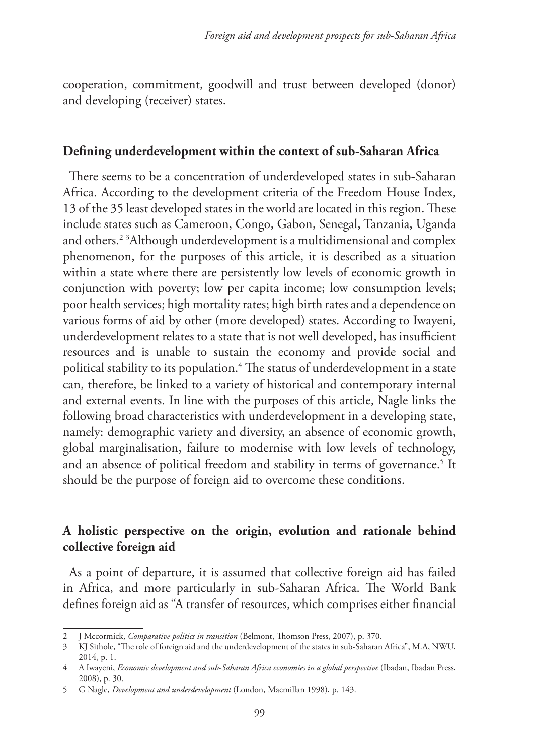cooperation, commitment, goodwill and trust between developed (donor) and developing (receiver) states.

### **Defining underdevelopment within the context of sub-Saharan Africa**

There seems to be a concentration of underdeveloped states in sub-Saharan Africa. According to the development criteria of the Freedom House Index, 13 of the 35 least developed states in the world are located in this region. These include states such as Cameroon, Congo, Gabon, Senegal, Tanzania, Uganda and others.2 <sup>3</sup> Although underdevelopment is a multidimensional and complex phenomenon, for the purposes of this article, it is described as a situation within a state where there are persistently low levels of economic growth in conjunction with poverty; low per capita income; low consumption levels; poor health services; high mortality rates; high birth rates and a dependence on various forms of aid by other (more developed) states. According to Iwayeni, underdevelopment relates to a state that is not well developed, has insufficient resources and is unable to sustain the economy and provide social and political stability to its population.<sup>4</sup> The status of underdevelopment in a state can, therefore, be linked to a variety of historical and contemporary internal and external events. In line with the purposes of this article, Nagle links the following broad characteristics with underdevelopment in a developing state, namely: demographic variety and diversity, an absence of economic growth, global marginalisation, failure to modernise with low levels of technology, and an absence of political freedom and stability in terms of governance.<sup>5</sup> It should be the purpose of foreign aid to overcome these conditions.

# **A holistic perspective on the origin, evolution and rationale behind collective foreign aid**

As a point of departure, it is assumed that collective foreign aid has failed in Africa, and more particularly in sub-Saharan Africa. The World Bank defines foreign aid as "A transfer of resources, which comprises either financial

<sup>2</sup> J Mccormick, *Comparative politics in transition* (Belmont, Thomson Press, 2007), p. 370.

<sup>3</sup> KJ Sithole, "The role of foreign aid and the underdevelopment of the states in sub-Saharan Africa", M.A, NWU, 2014, p. 1.

<sup>4</sup> A Iwayeni, *Economic development and sub-Saharan Africa economies in a global perspective* (Ibadan, Ibadan Press, 2008), p. 30.

<sup>5</sup> G Nagle, *Development and underdevelopment* (London, Macmillan 1998), p. 143.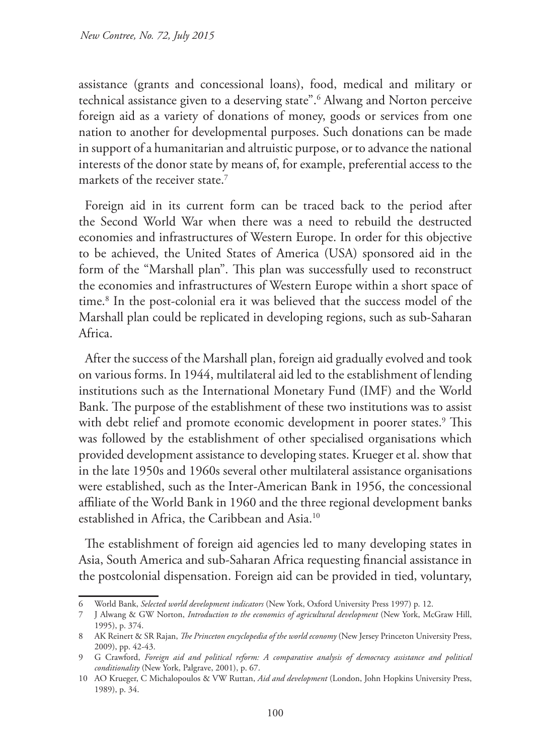assistance (grants and concessional loans), food, medical and military or technical assistance given to a deserving state".6 Alwang and Norton perceive foreign aid as a variety of donations of money, goods or services from one nation to another for developmental purposes. Such donations can be made in support of a humanitarian and altruistic purpose, or to advance the national interests of the donor state by means of, for example, preferential access to the markets of the receiver state.<sup>7</sup>

Foreign aid in its current form can be traced back to the period after the Second World War when there was a need to rebuild the destructed economies and infrastructures of Western Europe. In order for this objective to be achieved, the United States of America (USA) sponsored aid in the form of the "Marshall plan". This plan was successfully used to reconstruct the economies and infrastructures of Western Europe within a short space of time.8 In the post-colonial era it was believed that the success model of the Marshall plan could be replicated in developing regions, such as sub-Saharan Africa.

After the success of the Marshall plan, foreign aid gradually evolved and took on various forms. In 1944, multilateral aid led to the establishment of lending institutions such as the International Monetary Fund (IMF) and the World Bank. The purpose of the establishment of these two institutions was to assist with debt relief and promote economic development in poorer states.<sup>9</sup> This was followed by the establishment of other specialised organisations which provided development assistance to developing states. Krueger et al. show that in the late 1950s and 1960s several other multilateral assistance organisations were established, such as the Inter-American Bank in 1956, the concessional affiliate of the World Bank in 1960 and the three regional development banks established in Africa, the Caribbean and Asia.10

The establishment of foreign aid agencies led to many developing states in Asia, South America and sub-Saharan Africa requesting financial assistance in the postcolonial dispensation. Foreign aid can be provided in tied, voluntary,

<sup>6</sup> World Bank, *Selected world development indicators* (New York, Oxford University Press 1997) p. 12.

<sup>7</sup> J Alwang & GW Norton, *Introduction to the economics of agricultural development* (New York, McGraw Hill, 1995), p. 374.

<sup>8</sup> AK Reinert & SR Rajan, *The Princeton encyclopedia of the world economy* (New Jersey Princeton University Press, 2009), pp. 42-43.

<sup>9</sup> G Crawford, *Foreign aid and political reform: A comparative analysis of democracy assistance and political conditionality* (New York, Palgrave, 2001), p. 67.

<sup>10</sup> AO Krueger, C Michalopoulos & VW Ruttan, *Aid and development* (London, John Hopkins University Press, 1989), p. 34.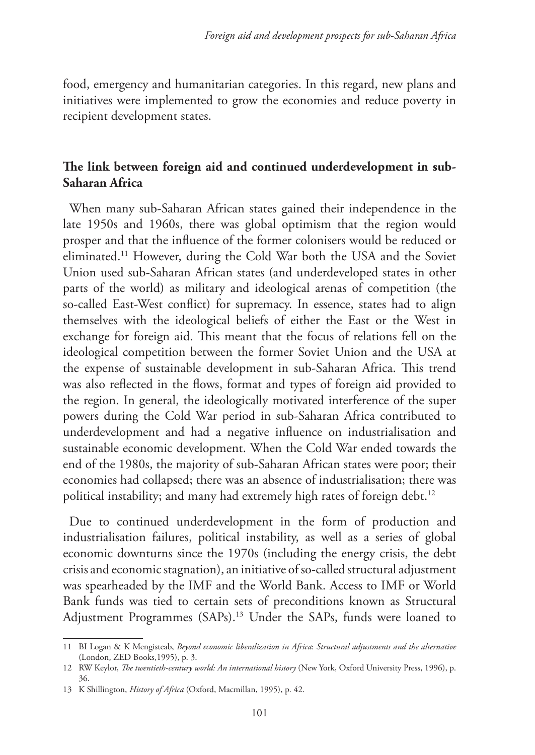food, emergency and humanitarian categories. In this regard, new plans and initiatives were implemented to grow the economies and reduce poverty in recipient development states.

# **The link between foreign aid and continued underdevelopment in sub-Saharan Africa**

When many sub-Saharan African states gained their independence in the late 1950s and 1960s, there was global optimism that the region would prosper and that the influence of the former colonisers would be reduced or eliminated.11 However, during the Cold War both the USA and the Soviet Union used sub-Saharan African states (and underdeveloped states in other parts of the world) as military and ideological arenas of competition (the so-called East-West conflict) for supremacy. In essence, states had to align themselves with the ideological beliefs of either the East or the West in exchange for foreign aid. This meant that the focus of relations fell on the ideological competition between the former Soviet Union and the USA at the expense of sustainable development in sub-Saharan Africa. This trend was also reflected in the flows, format and types of foreign aid provided to the region. In general, the ideologically motivated interference of the super powers during the Cold War period in sub-Saharan Africa contributed to underdevelopment and had a negative influence on industrialisation and sustainable economic development. When the Cold War ended towards the end of the 1980s, the majority of sub-Saharan African states were poor; their economies had collapsed; there was an absence of industrialisation; there was political instability; and many had extremely high rates of foreign debt.<sup>12</sup>

Due to continued underdevelopment in the form of production and industrialisation failures, political instability, as well as a series of global economic downturns since the 1970s (including the energy crisis, the debt crisis and economic stagnation), an initiative of so-called structural adjustment was spearheaded by the IMF and the World Bank. Access to IMF or World Bank funds was tied to certain sets of preconditions known as Structural Adjustment Programmes (SAPs).13 Under the SAPs, funds were loaned to

<sup>11</sup> BI Logan & K Mengisteab, *Beyond economic liberalization in Africa*: *Structural adjustments and the alternative* (London, ZED Books,1995), p. 3.

<sup>12</sup> RW Keylor, *The twentieth-century world: An international history* (New York, Oxford University Press, 1996), p. 36.

<sup>13</sup> K Shillington, *History of Africa* (Oxford, Macmillan, 1995), p. 42.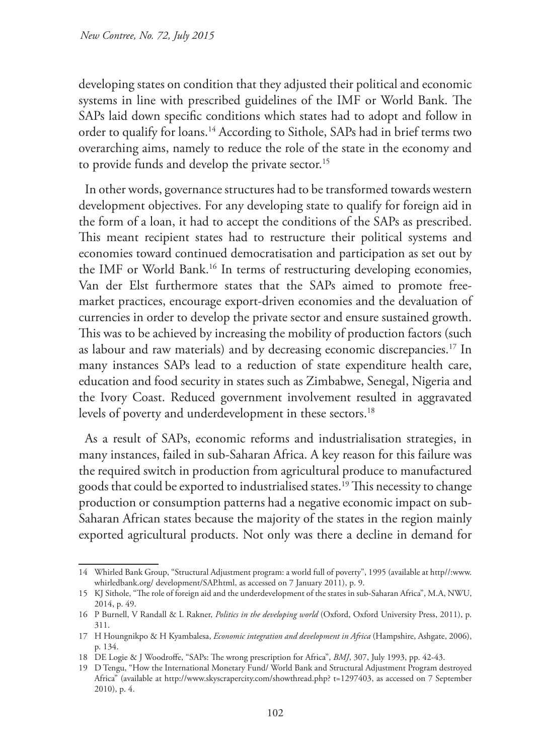developing states on condition that they adjusted their political and economic systems in line with prescribed guidelines of the IMF or World Bank. The SAPs laid down specific conditions which states had to adopt and follow in order to qualify for loans.14 According to Sithole, SAPs had in brief terms two overarching aims, namely to reduce the role of the state in the economy and to provide funds and develop the private sector.<sup>15</sup>

In other words, governance structures had to be transformed towards western development objectives. For any developing state to qualify for foreign aid in the form of a loan, it had to accept the conditions of the SAPs as prescribed. This meant recipient states had to restructure their political systems and economies toward continued democratisation and participation as set out by the IMF or World Bank.16 In terms of restructuring developing economies, Van der Elst furthermore states that the SAPs aimed to promote freemarket practices, encourage export-driven economies and the devaluation of currencies in order to develop the private sector and ensure sustained growth. This was to be achieved by increasing the mobility of production factors (such as labour and raw materials) and by decreasing economic discrepancies.17 In many instances SAPs lead to a reduction of state expenditure health care, education and food security in states such as Zimbabwe, Senegal, Nigeria and the Ivory Coast. Reduced government involvement resulted in aggravated levels of poverty and underdevelopment in these sectors.<sup>18</sup>

As a result of SAPs, economic reforms and industrialisation strategies, in many instances, failed in sub-Saharan Africa. A key reason for this failure was the required switch in production from agricultural produce to manufactured goods that could be exported to industrialised states.<sup>19</sup> This necessity to change production or consumption patterns had a negative economic impact on sub-Saharan African states because the majority of the states in the region mainly exported agricultural products. Not only was there a decline in demand for

<sup>14</sup> Whirled Bank Group, "Structural Adjustment program: a world full of poverty", 1995 (available at http//:www. whirledbank.org/ development/SAP.html, as accessed on 7 January 2011), p. 9.

<sup>15</sup> KJ Sithole, "The role of foreign aid and the underdevelopment of the states in sub-Saharan Africa", M.A, NWU, 2014, p. 49.

<sup>16</sup> P Burnell, V Randall & L Rakner, *Politics in the developing world* (Oxford, Oxford University Press, 2011), p. 311.

<sup>17</sup> H Houngnikpo & H Kyambalesa, *Economic integration and development in Africa* (Hampshire, Ashgate, 2006), p. 134.

<sup>18</sup> DE Logie & J Woodroffe, "SAPs: The wrong prescription for Africa", *BMJ*, 307, July 1993, pp. 42-43.

<sup>19</sup> D Tengu, "How the International Monetary Fund/ World Bank and Structural Adjustment Program destroyed Africa" (available at http://www.skyscrapercity.com/showthread.php? t=1297403, as accessed on 7 September 2010), p. 4.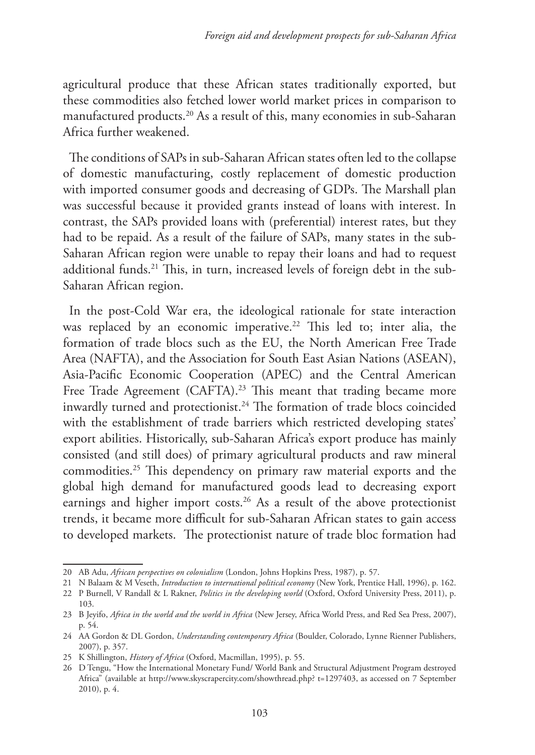agricultural produce that these African states traditionally exported, but these commodities also fetched lower world market prices in comparison to manufactured products.20 As a result of this, many economies in sub-Saharan Africa further weakened.

The conditions of SAPs in sub-Saharan African states often led to the collapse of domestic manufacturing, costly replacement of domestic production with imported consumer goods and decreasing of GDPs. The Marshall plan was successful because it provided grants instead of loans with interest. In contrast, the SAPs provided loans with (preferential) interest rates, but they had to be repaid. As a result of the failure of SAPs, many states in the sub-Saharan African region were unable to repay their loans and had to request additional funds.<sup>21</sup> This, in turn, increased levels of foreign debt in the sub-Saharan African region.

In the post-Cold War era, the ideological rationale for state interaction was replaced by an economic imperative.<sup>22</sup> This led to; inter alia, the formation of trade blocs such as the EU, the North American Free Trade Area (NAFTA), and the Association for South East Asian Nations (ASEAN), Asia-Pacific Economic Cooperation (APEC) and the Central American Free Trade Agreement (CAFTA).<sup>23</sup> This meant that trading became more inwardly turned and protectionist.<sup>24</sup> The formation of trade blocs coincided with the establishment of trade barriers which restricted developing states' export abilities. Historically, sub-Saharan Africa's export produce has mainly consisted (and still does) of primary agricultural products and raw mineral commodities.25 This dependency on primary raw material exports and the global high demand for manufactured goods lead to decreasing export earnings and higher import costs.<sup>26</sup> As a result of the above protectionist trends, it became more difficult for sub-Saharan African states to gain access to developed markets. The protectionist nature of trade bloc formation had

<sup>20</sup> AB Adu, *African perspectives on colonialism* (London, Johns Hopkins Press, 1987), p. 57.

<sup>21</sup> N Balaam & M Veseth, *Introduction to international political economy* (New York, Prentice Hall, 1996), p. 162.

<sup>22</sup> P Burnell, V Randall & L Rakner, *Politics in the developing world* (Oxford, Oxford University Press, 2011), p. 103.

<sup>23</sup> B Jeyifo, *Africa in the world and the world in Africa* (New Jersey, Africa World Press, and Red Sea Press, 2007), p. 54.

<sup>24</sup> AA Gordon & DL Gordon, *Understanding contemporary Africa* (Boulder, Colorado, Lynne Rienner Publishers, 2007), p. 357.

<sup>25</sup> K Shillington, *History of Africa* (Oxford, Macmillan, 1995), p. 55.

<sup>26</sup> D Tengu, "How the International Monetary Fund/ World Bank and Structural Adjustment Program destroyed Africa" (available at http://www.skyscrapercity.com/showthread.php? t=1297403, as accessed on 7 September 2010), p. 4.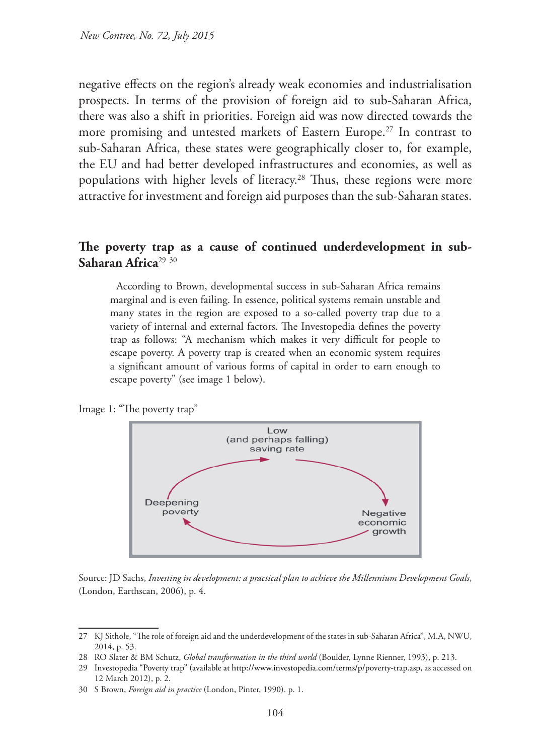negative effects on the region's already weak economies and industrialisation prospects. In terms of the provision of foreign aid to sub-Saharan Africa, there was also a shift in priorities. Foreign aid was now directed towards the more promising and untested markets of Eastern Europe.<sup>27</sup> In contrast to sub-Saharan Africa, these states were geographically closer to, for example, the EU and had better developed infrastructures and economies, as well as populations with higher levels of literacy.<sup>28</sup> Thus, these regions were more attractive for investment and foreign aid purposes than the sub-Saharan states.

#### The poverty trap as a cause of continued underdevelopment in sub-**Saharan Africa**<sup>29</sup> <sup>30</sup>

According to Brown, developmental success in sub-Saharan Africa remains marginal and is even failing. In essence, political systems remain unstable and many states in the region are exposed to a so-called poverty trap due to a variety of internal and external factors. The Investopedia defines the poverty trap as follows: "A mechanism which makes it very difficult for people to escape poverty. A poverty trap is created when an economic system requires a significant amount of various forms of capital in order to earn enough to escape poverty" (see image 1 below).

Image 1: "The poverty trap"



Source: JD Sachs, *Investing in development: a practical plan to achieve the Millennium Development Goals*, (London, Earthscan, 2006), p. 4.

<sup>27</sup> KJ Sithole, "The role of foreign aid and the underdevelopment of the states in sub-Saharan Africa", M.A, NWU, 2014, p. 53.

<sup>28</sup> RO Slater & BM Schutz, *Global transformation in the third world* (Boulder, Lynne Rienner, 1993), p. 213.

<sup>29</sup> Investopedia "Poverty trap" (available at http://www.investopedia.com/terms/p/poverty-trap.asp, as accessed on 12 March 2012), p. 2.

<sup>30</sup> S Brown, *Foreign aid in practice* (London, Pinter, 1990). p. 1.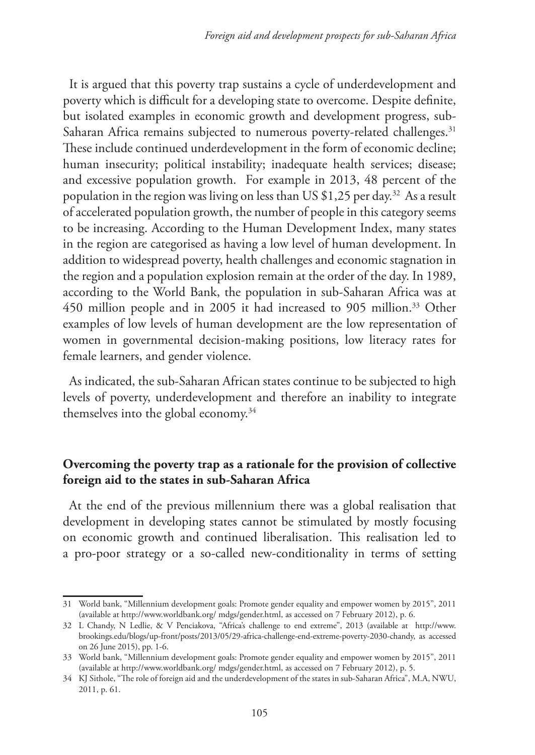It is argued that this poverty trap sustains a cycle of underdevelopment and poverty which is difficult for a developing state to overcome. Despite definite, but isolated examples in economic growth and development progress, sub-Saharan Africa remains subjected to numerous poverty-related challenges.<sup>31</sup> These include continued underdevelopment in the form of economic decline; human insecurity; political instability; inadequate health services; disease; and excessive population growth. For example in 2013, 48 percent of the population in the region was living on less than US \$1,25 per day.<sup>32</sup> As a result of accelerated population growth, the number of people in this category seems to be increasing. According to the Human Development Index, many states in the region are categorised as having a low level of human development. In addition to widespread poverty, health challenges and economic stagnation in the region and a population explosion remain at the order of the day. In 1989, according to the World Bank, the population in sub-Saharan Africa was at 450 million people and in 2005 it had increased to 905 million.<sup>33</sup> Other examples of low levels of human development are the low representation of women in governmental decision-making positions, low literacy rates for female learners, and gender violence.

As indicated, the sub-Saharan African states continue to be subjected to high levels of poverty, underdevelopment and therefore an inability to integrate themselves into the global economy.34

# **Overcoming the poverty trap as a rationale for the provision of collective foreign aid to the states in sub-Saharan Africa**

At the end of the previous millennium there was a global realisation that development in developing states cannot be stimulated by mostly focusing on economic growth and continued liberalisation. This realisation led to a pro-poor strategy or a so-called new-conditionality in terms of setting

<sup>31</sup> World bank, "Millennium development goals: Promote gender equality and empower women by 2015", 2011 (available at http://www.worldbank.org/ mdgs/gender.html, as accessed on 7 February 2012), p. 6.

<sup>32</sup> L Chandy, N Ledlie, & V Penciakova, "Africa's challenge to end extreme", 2013 (available at http://www. brookings.edu/blogs/up-front/posts/2013/05/29-africa-challenge-end-extreme-poverty-2030-chandy, as accessed on 26 June 2015), pp. 1-6.

<sup>33</sup> World bank, "Millennium development goals: Promote gender equality and empower women by 2015", 2011 (available at http://www.worldbank.org/ mdgs/gender.html, as accessed on 7 February 2012), p. 5.

<sup>34</sup> KJ Sithole, "The role of foreign aid and the underdevelopment of the states in sub-Saharan Africa", M.A, NWU, 2011, p. 61.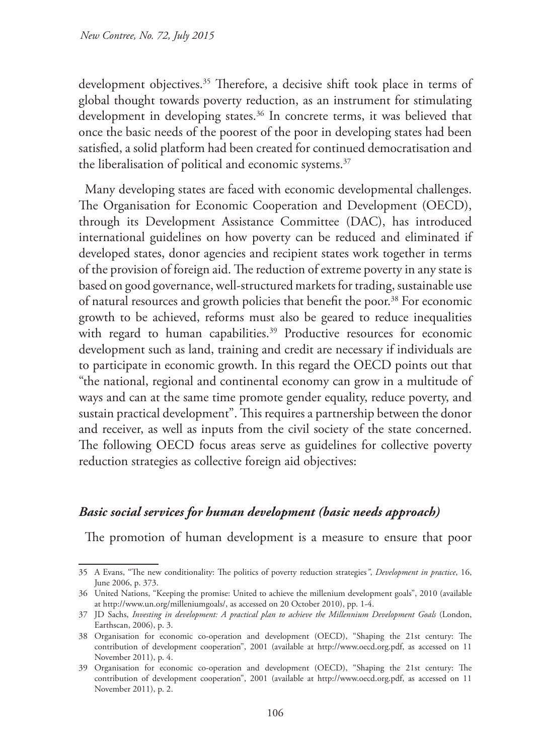development objectives.<sup>35</sup> Therefore, a decisive shift took place in terms of global thought towards poverty reduction, as an instrument for stimulating development in developing states.<sup>36</sup> In concrete terms, it was believed that once the basic needs of the poorest of the poor in developing states had been satisfied, a solid platform had been created for continued democratisation and the liberalisation of political and economic systems.<sup>37</sup>

Many developing states are faced with economic developmental challenges. The Organisation for Economic Cooperation and Development (OECD), through its Development Assistance Committee (DAC), has introduced international guidelines on how poverty can be reduced and eliminated if developed states, donor agencies and recipient states work together in terms of the provision of foreign aid. The reduction of extreme poverty in any state is based on good governance, well-structured markets for trading, sustainable use of natural resources and growth policies that benefit the poor.<sup>38</sup> For economic growth to be achieved, reforms must also be geared to reduce inequalities with regard to human capabilities.<sup>39</sup> Productive resources for economic development such as land, training and credit are necessary if individuals are to participate in economic growth. In this regard the OECD points out that "the national, regional and continental economy can grow in a multitude of ways and can at the same time promote gender equality, reduce poverty, and sustain practical development". This requires a partnership between the donor and receiver, as well as inputs from the civil society of the state concerned. The following OECD focus areas serve as guidelines for collective poverty reduction strategies as collective foreign aid objectives:

### *Basic social services for human development (basic needs approach)*

The promotion of human development is a measure to ensure that poor

<sup>35</sup> A Evans, "The new conditionality: The politics of poverty reduction strategies*"*, *Development in practice*, 16, June 2006, p. 373.

<sup>36</sup> United Nations, "Keeping the promise: United to achieve the millenium development goals", 2010 (available at http://www.un.org/milleniumgoals/, as accessed on 20 October 2010), pp. 1-4.

<sup>37</sup> JD Sachs, *Investing in development: A practical plan to achieve the Millennium Development Goals* (London, Earthscan, 2006), p. 3.

<sup>38</sup> Organisation for economic co-operation and development (OECD), "Shaping the 21st century: The contribution of development cooperation", 2001 (available at http://www.oecd.org.pdf, as accessed on 11 November 2011), p. 4.

<sup>39</sup> Organisation for economic co-operation and development (OECD), "Shaping the 21st century: The contribution of development cooperation", 2001 (available at http://www.oecd.org.pdf, as accessed on 11 November 2011), p. 2.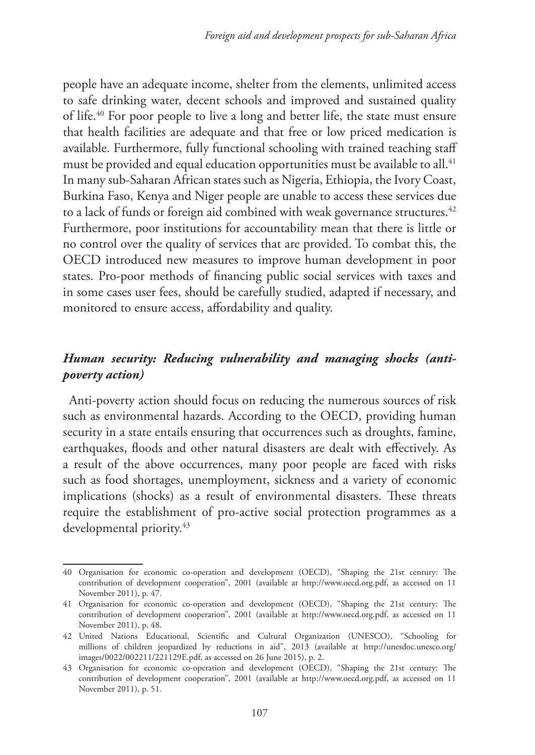people have an adequate income, shelter from the elements, unlimited access to safe drinking water, decent schools and improved and sustained quality of life.40 For poor people to live a long and better life, the state must ensure that health facilities are adequate and that free or low priced medication is available. Furthermore, fully functional schooling with trained teaching staff must be provided and equal education opportunities must be available to all.<sup>41</sup> In many sub-Saharan African states such as Nigeria, Ethiopia, the Ivory Coast, Burkina Faso, Kenya and Niger people are unable to access these services due to a lack of funds or foreign aid combined with weak governance structures.<sup>42</sup> Furthermore, poor institutions for accountability mean that there is little or no control over the quality of services that are provided. To combat this, the OECD introduced new measures to improve human development in poor states. Pro-poor methods of financing public social services with taxes and in some cases user fees, should be carefully studied, adapted if necessary, and monitored to ensure access, affordability and quality.

# *Human security: Reducing vulnerability and managing shocks (antipoverty action)*

Anti-poverty action should focus on reducing the numerous sources of risk such as environmental hazards. According to the OECD, providing human security in a state entails ensuring that occurrences such as droughts, famine, earthquakes, floods and other natural disasters are dealt with effectively. As a result of the above occurrences, many poor people are faced with risks such as food shortages, unemployment, sickness and a variety of economic implications (shocks) as a result of environmental disasters. These threats require the establishment of pro-active social protection programmes as a developmental priority.<sup>43</sup>

<sup>40</sup> Organisation for economic co-operation and development (OECD), "Shaping the 21st century: The contribution of development cooperation", 2001 (available at http://www.oecd.org.pdf, as accessed on 11 November 2011), p. 47.

<sup>41</sup> Organisation for economic co-operation and development (OECD), "Shaping the 21st century: The contribution of development cooperation", 2001 (available at http://www.oecd.org.pdf, as accessed on 11 November 2011), p. 48.

<sup>42</sup> United Nations Educational, Scientific and Cultural Organization (UNESCO), "Schooling for millions of children jeopardized by reductions in aid", 2013 (available at http://unesdoc.unesco.org/ images/0022/002211/221129E.pdf, as accessed on 26 June 2015), p. 2.

<sup>43</sup> Organisation for economic co-operation and development (OECD), "Shaping the 21st century: The contribution of development cooperation", 2001 (available at http://www.oecd.org.pdf, as accessed on 11 November 2011), p. 51.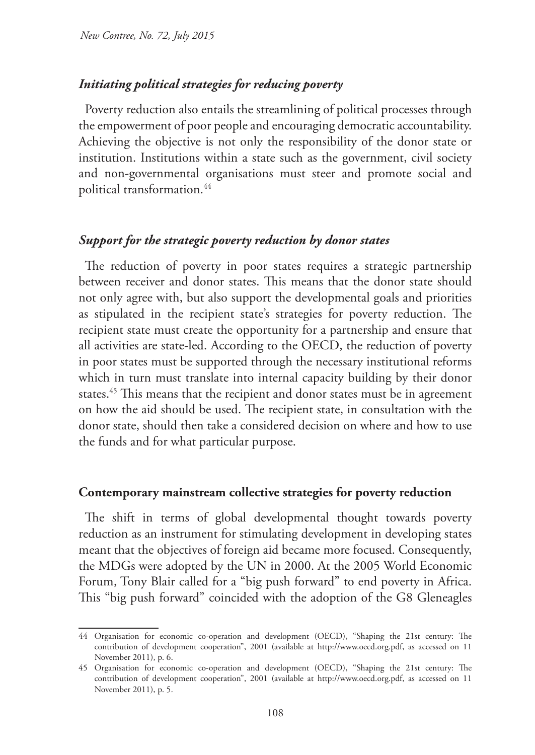### *Initiating political strategies for reducing poverty*

Poverty reduction also entails the streamlining of political processes through the empowerment of poor people and encouraging democratic accountability. Achieving the objective is not only the responsibility of the donor state or institution. Institutions within a state such as the government, civil society and non-governmental organisations must steer and promote social and political transformation.44

### *Support for the strategic poverty reduction by donor states*

The reduction of poverty in poor states requires a strategic partnership between receiver and donor states. This means that the donor state should not only agree with, but also support the developmental goals and priorities as stipulated in the recipient state's strategies for poverty reduction. The recipient state must create the opportunity for a partnership and ensure that all activities are state-led. According to the OECD, the reduction of poverty in poor states must be supported through the necessary institutional reforms which in turn must translate into internal capacity building by their donor states.<sup>45</sup> This means that the recipient and donor states must be in agreement on how the aid should be used. The recipient state, in consultation with the donor state, should then take a considered decision on where and how to use the funds and for what particular purpose.

#### **Contemporary mainstream collective strategies for poverty reduction**

The shift in terms of global developmental thought towards poverty reduction as an instrument for stimulating development in developing states meant that the objectives of foreign aid became more focused. Consequently, the MDGs were adopted by the UN in 2000. At the 2005 World Economic Forum, Tony Blair called for a "big push forward" to end poverty in Africa. This "big push forward" coincided with the adoption of the G8 Gleneagles

<sup>44</sup> Organisation for economic co-operation and development (OECD), "Shaping the 21st century: The contribution of development cooperation", 2001 (available at http://www.oecd.org.pdf, as accessed on 11 November 2011), p. 6.

<sup>45</sup> Organisation for economic co-operation and development (OECD), "Shaping the 21st century: The contribution of development cooperation", 2001 (available at http://www.oecd.org.pdf, as accessed on 11 November 2011), p. 5.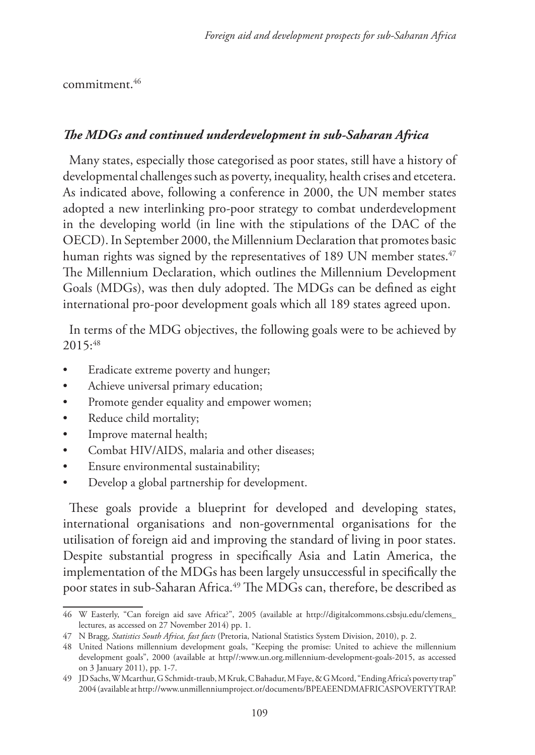commitment.46

## *The MDGs and continued underdevelopment in sub-Saharan Africa*

Many states, especially those categorised as poor states, still have a history of developmental challenges such as poverty, inequality, health crises and etcetera. As indicated above, following a conference in 2000, the UN member states adopted a new interlinking pro-poor strategy to combat underdevelopment in the developing world (in line with the stipulations of the DAC of the OECD). In September 2000, the Millennium Declaration that promotes basic human rights was signed by the representatives of 189 UN member states.<sup>47</sup> The Millennium Declaration, which outlines the Millennium Development Goals (MDGs), was then duly adopted. The MDGs can be defined as eight international pro-poor development goals which all 189 states agreed upon.

In terms of the MDG objectives, the following goals were to be achieved by 2015:48

- Eradicate extreme poverty and hunger;
- Achieve universal primary education;
- Promote gender equality and empower women;
- Reduce child mortality;
- Improve maternal health;
- Combat HIV/AIDS, malaria and other diseases;
- Ensure environmental sustainability;
- Develop a global partnership for development.

These goals provide a blueprint for developed and developing states, international organisations and non-governmental organisations for the utilisation of foreign aid and improving the standard of living in poor states. Despite substantial progress in specifically Asia and Latin America, the implementation of the MDGs has been largely unsuccessful in specifically the poor states in sub-Saharan Africa.<sup>49</sup> The MDGs can, therefore, be described as

<sup>46</sup> W Easterly, "Can foreign aid save Africa?", 2005 (available at http://digitalcommons.csbsju.edu/clemens\_ lectures, as accessed on 27 November 2014) pp. 1.

<sup>47</sup> N Bragg, *Statistics South Africa, fast facts* (Pretoria, National Statistics System Division, 2010), p. 2.

<sup>48</sup> United Nations millennium development goals, "Keeping the promise: United to achieve the millennium development goals", 2000 (available at http//:www.un.org.millennium-development-goals-2015, as accessed on 3 January 2011), pp. 1-7.

<sup>49</sup> JD Sachs, W Mcarthur, G Schmidt-traub, M Kruk, C Bahadur, M Faye, & G Mcord, "Ending Africa's poverty trap" 2004 (available at http://www.unmillenniumproject.or/documents/BPEAEENDMAFRICASPOVERTYTRAP.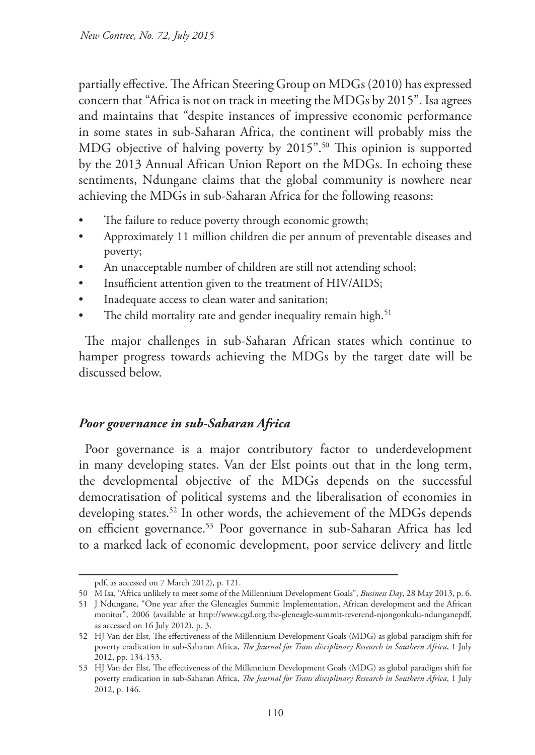partially effective. The African Steering Group on MDGs (2010) has expressed concern that "Africa is not on track in meeting the MDGs by 2015". Isa agrees and maintains that "despite instances of impressive economic performance in some states in sub-Saharan Africa, the continent will probably miss the MDG objective of halving poverty by 2015".<sup>50</sup> This opinion is supported by the 2013 Annual African Union Report on the MDGs. In echoing these sentiments, Ndungane claims that the global community is nowhere near achieving the MDGs in sub-Saharan Africa for the following reasons:

- The failure to reduce poverty through economic growth;
- Approximately 11 million children die per annum of preventable diseases and poverty;
- An unacceptable number of children are still not attending school;
- Insufficient attention given to the treatment of HIV/AIDS;
- Inadequate access to clean water and sanitation;
- The child mortality rate and gender inequality remain high.<sup>51</sup>

The major challenges in sub-Saharan African states which continue to hamper progress towards achieving the MDGs by the target date will be discussed below.

## *Poor governance in sub-Saharan Africa*

Poor governance is a major contributory factor to underdevelopment in many developing states. Van der Elst points out that in the long term, the developmental objective of the MDGs depends on the successful democratisation of political systems and the liberalisation of economies in developing states.<sup>52</sup> In other words, the achievement of the MDGs depends on efficient governance.53 Poor governance in sub-Saharan Africa has led to a marked lack of economic development, poor service delivery and little

pdf, as accessed on 7 March 2012), p. 121.

<sup>50</sup> M Isa, "Africa unlikely to meet some of the Millennium Development Goals", *Business Day*, 28 May 2013, p. 6.

<sup>51</sup> J Ndungane, "One year after the Gleneagles Summit: Implementation, African development and the African monitor", 2006 (available at http://www.cgd.org.the-gleneagle-summit-reverend-njongonkulu-ndunganepdf, as accessed on 16 July 2012), p. 3.

<sup>52</sup> HJ Van der Elst, The effectiveness of the Millennium Development Goals (MDG) as global paradigm shift for poverty eradication in sub-Saharan Africa, *The Journal for Trans disciplinary Research in Southern Africa*, 1 July 2012, pp. 134-153.

<sup>53</sup> HJ Van der Elst, The effectiveness of the Millennium Development Goals (MDG) as global paradigm shift for poverty eradication in sub-Saharan Africa, *The Journal for Trans disciplinary Research in Southern Africa*, 1 July 2012, p. 146.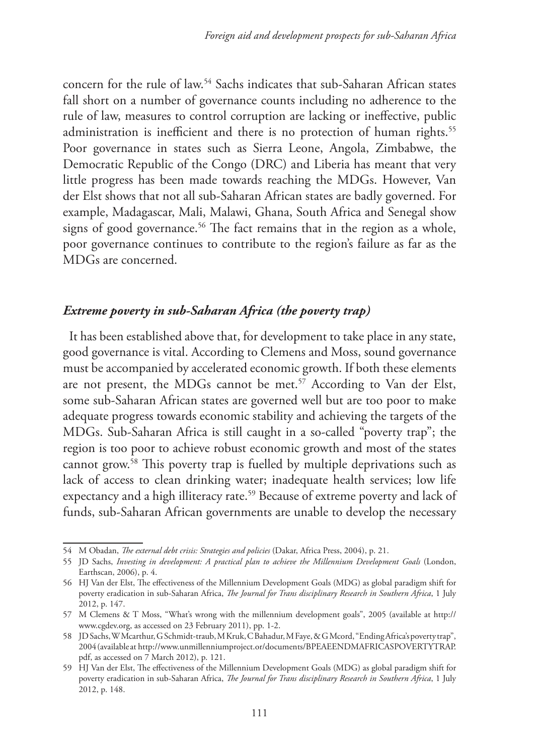concern for the rule of law.54 Sachs indicates that sub-Saharan African states fall short on a number of governance counts including no adherence to the rule of law, measures to control corruption are lacking or ineffective, public administration is inefficient and there is no protection of human rights.<sup>55</sup> Poor governance in states such as Sierra Leone, Angola, Zimbabwe, the Democratic Republic of the Congo (DRC) and Liberia has meant that very little progress has been made towards reaching the MDGs. However, Van der Elst shows that not all sub-Saharan African states are badly governed. For example, Madagascar, Mali, Malawi, Ghana, South Africa and Senegal show signs of good governance.<sup>56</sup> The fact remains that in the region as a whole, poor governance continues to contribute to the region's failure as far as the MDGs are concerned.

## *Extreme poverty in sub-Saharan Africa (the poverty trap)*

It has been established above that, for development to take place in any state, good governance is vital. According to Clemens and Moss, sound governance must be accompanied by accelerated economic growth. If both these elements are not present, the MDGs cannot be met.<sup>57</sup> According to Van der Elst, some sub-Saharan African states are governed well but are too poor to make adequate progress towards economic stability and achieving the targets of the MDGs. Sub-Saharan Africa is still caught in a so-called "poverty trap"; the region is too poor to achieve robust economic growth and most of the states cannot grow.58 This poverty trap is fuelled by multiple deprivations such as lack of access to clean drinking water; inadequate health services; low life expectancy and a high illiteracy rate.<sup>59</sup> Because of extreme poverty and lack of funds, sub-Saharan African governments are unable to develop the necessary

<sup>54</sup> M Obadan, *The external debt crisis: Strategies and policies* (Dakar, Africa Press, 2004), p. 21.

<sup>55</sup> JD Sachs, *Investing in development: A practical plan to achieve the Millennium Development Goals* (London, Earthscan, 2006), p. 4.

<sup>56</sup> HJ Van der Elst, The effectiveness of the Millennium Development Goals (MDG) as global paradigm shift for poverty eradication in sub-Saharan Africa, *The Journal for Trans disciplinary Research in Southern Africa*, 1 July 2012, p. 147.

<sup>57</sup> M Clemens & T Moss, "What's wrong with the millennium development goals", 2005 (available at http:// www.cgdev.org, as accessed on 23 February 2011), pp. 1-2.

<sup>58</sup> JD Sachs, W Mcarthur, G Schmidt-traub, M Kruk, C Bahadur, M Faye, & G Mcord, "Ending Africa's poverty trap", 2004 (available at http://www.unmillenniumproject.or/documents/BPEAEENDMAFRICASPOVERTYTRAP. pdf, as accessed on 7 March 2012), p. 121.

<sup>59</sup> HJ Van der Elst, The effectiveness of the Millennium Development Goals (MDG) as global paradigm shift for poverty eradication in sub-Saharan Africa, *The Journal for Trans disciplinary Research in Southern Africa*, 1 July 2012, p. 148.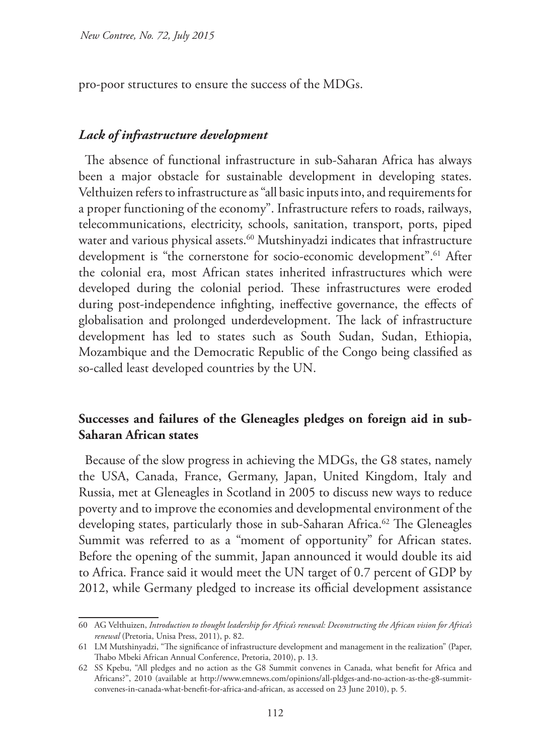pro-poor structures to ensure the success of the MDGs.

### *Lack of infrastructure development*

The absence of functional infrastructure in sub-Saharan Africa has always been a major obstacle for sustainable development in developing states. Velthuizen refers to infrastructure as "all basic inputs into, and requirements for a proper functioning of the economy". Infrastructure refers to roads, railways, telecommunications, electricity, schools, sanitation, transport, ports, piped water and various physical assets.<sup>60</sup> Mutshinyadzi indicates that infrastructure development is "the cornerstone for socio-economic development".<sup>61</sup> After the colonial era, most African states inherited infrastructures which were developed during the colonial period. These infrastructures were eroded during post-independence infighting, ineffective governance, the effects of globalisation and prolonged underdevelopment. The lack of infrastructure development has led to states such as South Sudan, Sudan, Ethiopia, Mozambique and the Democratic Republic of the Congo being classified as so-called least developed countries by the UN.

## **Successes and failures of the Gleneagles pledges on foreign aid in sub-Saharan African states**

Because of the slow progress in achieving the MDGs, the G8 states, namely the USA, Canada, France, Germany, Japan, United Kingdom, Italy and Russia, met at Gleneagles in Scotland in 2005 to discuss new ways to reduce poverty and to improve the economies and developmental environment of the developing states, particularly those in sub-Saharan Africa.<sup>62</sup> The Gleneagles Summit was referred to as a "moment of opportunity" for African states. Before the opening of the summit, Japan announced it would double its aid to Africa. France said it would meet the UN target of 0.7 percent of GDP by 2012, while Germany pledged to increase its official development assistance

<sup>60</sup> AG Velthuizen, *Introduction to thought leadership for Africa's renewal: Deconstructing the African vision for Africa's renewal* (Pretoria, Unisa Press, 2011), p. 82.

<sup>61</sup> LM Mutshinyadzi, "The significance of infrastructure development and management in the realization" (Paper, Thabo Mbeki African Annual Conference, Pretoria, 2010), p. 13.

<sup>62</sup> SS Kpebu, "All pledges and no action as the G8 Summit convenes in Canada, what benefit for Africa and Africans?", 2010 (available at http://www.emnews.com/opinions/all-pldges-and-no-action-as-the-g8-summitconvenes-in-canada-what-benefit-for-africa-and-african, as accessed on 23 June 2010), p. 5.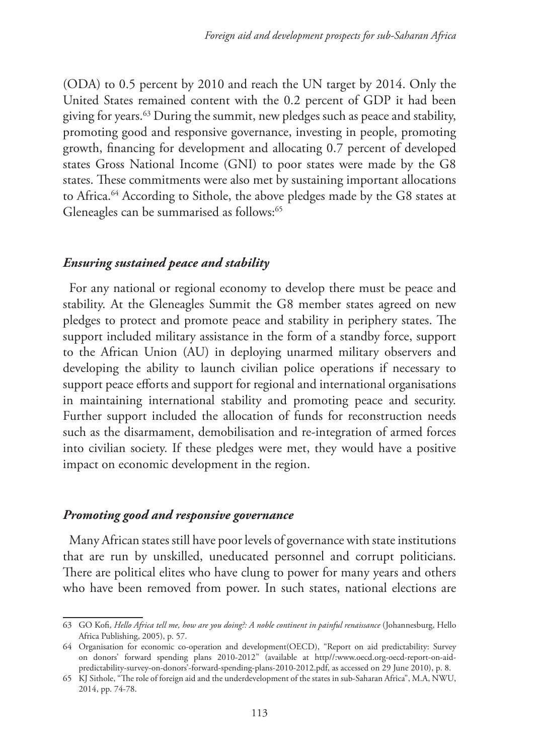(ODA) to 0.5 percent by 2010 and reach the UN target by 2014. Only the United States remained content with the 0.2 percent of GDP it had been giving for years.63 During the summit, new pledges such as peace and stability, promoting good and responsive governance, investing in people, promoting growth, financing for development and allocating 0.7 percent of developed states Gross National Income (GNI) to poor states were made by the G8 states. These commitments were also met by sustaining important allocations to Africa.64 According to Sithole, the above pledges made by the G8 states at Gleneagles can be summarised as follows:<sup>65</sup>

### *Ensuring sustained peace and stability*

For any national or regional economy to develop there must be peace and stability. At the Gleneagles Summit the G8 member states agreed on new pledges to protect and promote peace and stability in periphery states. The support included military assistance in the form of a standby force, support to the African Union (AU) in deploying unarmed military observers and developing the ability to launch civilian police operations if necessary to support peace efforts and support for regional and international organisations in maintaining international stability and promoting peace and security. Further support included the allocation of funds for reconstruction needs such as the disarmament, demobilisation and re-integration of armed forces into civilian society. If these pledges were met, they would have a positive impact on economic development in the region.

#### *Promoting good and responsive governance*

Many African states still have poor levels of governance with state institutions that are run by unskilled, uneducated personnel and corrupt politicians. There are political elites who have clung to power for many years and others who have been removed from power. In such states, national elections are

<sup>63</sup> GO Kofi, *Hello Africa tell me, how are you doing?: A noble continent in painful renaissance* (Johannesburg, Hello Africa Publishing, 2005), p. 57.

<sup>64</sup> Organisation for economic co-operation and development(OECD), "Report on aid predictability: Survey on donors' forward spending plans 2010-2012" (available at http//:www.oecd.org-oecd-report-on-aidpredictability-survey-on-donors'-forward-spending-plans-2010-2012.pdf, as accessed on 29 June 2010), p. 8.

<sup>65</sup> KJ Sithole, "The role of foreign aid and the underdevelopment of the states in sub-Saharan Africa", M.A, NWU, 2014, pp. 74-78.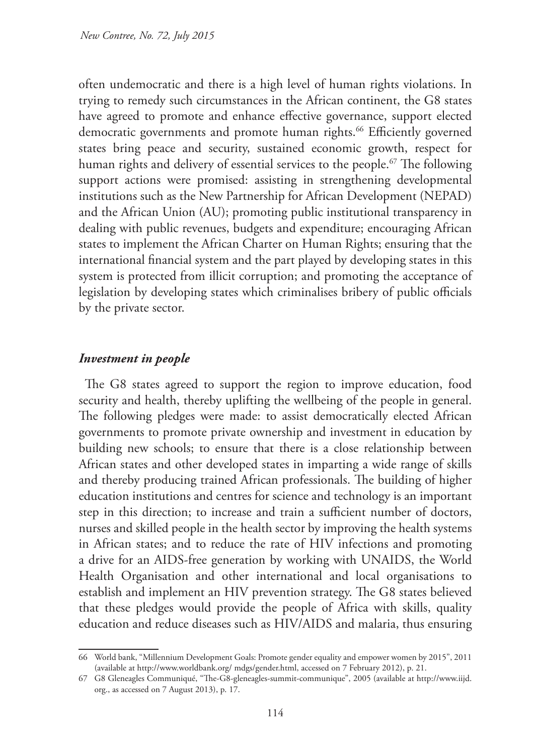often undemocratic and there is a high level of human rights violations. In trying to remedy such circumstances in the African continent, the G8 states have agreed to promote and enhance effective governance, support elected democratic governments and promote human rights.<sup>66</sup> Efficiently governed states bring peace and security, sustained economic growth, respect for human rights and delivery of essential services to the people.<sup>67</sup> The following support actions were promised: assisting in strengthening developmental institutions such as the New Partnership for African Development (NEPAD) and the African Union (AU); promoting public institutional transparency in dealing with public revenues, budgets and expenditure; encouraging African states to implement the African Charter on Human Rights; ensuring that the international financial system and the part played by developing states in this system is protected from illicit corruption; and promoting the acceptance of legislation by developing states which criminalises bribery of public officials by the private sector.

### *Investment in people*

The G8 states agreed to support the region to improve education, food security and health, thereby uplifting the wellbeing of the people in general. The following pledges were made: to assist democratically elected African governments to promote private ownership and investment in education by building new schools; to ensure that there is a close relationship between African states and other developed states in imparting a wide range of skills and thereby producing trained African professionals. The building of higher education institutions and centres for science and technology is an important step in this direction; to increase and train a sufficient number of doctors, nurses and skilled people in the health sector by improving the health systems in African states; and to reduce the rate of HIV infections and promoting a drive for an AIDS-free generation by working with UNAIDS, the World Health Organisation and other international and local organisations to establish and implement an HIV prevention strategy. The G8 states believed that these pledges would provide the people of Africa with skills, quality education and reduce diseases such as HIV/AIDS and malaria, thus ensuring

<sup>66</sup> World bank, "Millennium Development Goals: Promote gender equality and empower women by 2015", 2011 (available at http://www.worldbank.org/ mdgs/gender.html, accessed on 7 February 2012), p. 21.

<sup>67</sup> G8 Gleneagles Communiqué, "The-G8-gleneagles-summit-communique", 2005 (available at http://www.iijd. org., as accessed on 7 August 2013), p. 17.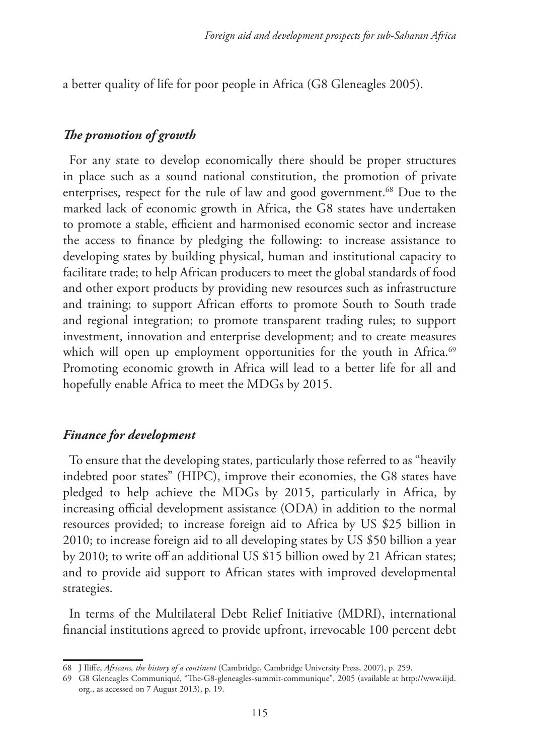a better quality of life for poor people in Africa (G8 Gleneagles 2005).

## *The promotion of growth*

For any state to develop economically there should be proper structures in place such as a sound national constitution, the promotion of private enterprises, respect for the rule of law and good government.<sup>68</sup> Due to the marked lack of economic growth in Africa, the G8 states have undertaken to promote a stable, efficient and harmonised economic sector and increase the access to finance by pledging the following: to increase assistance to developing states by building physical, human and institutional capacity to facilitate trade; to help African producers to meet the global standards of food and other export products by providing new resources such as infrastructure and training; to support African efforts to promote South to South trade and regional integration; to promote transparent trading rules; to support investment, innovation and enterprise development; and to create measures which will open up employment opportunities for the youth in Africa.<sup>69</sup> Promoting economic growth in Africa will lead to a better life for all and hopefully enable Africa to meet the MDGs by 2015.

### *Finance for development*

To ensure that the developing states, particularly those referred to as "heavily indebted poor states" (HIPC), improve their economies, the G8 states have pledged to help achieve the MDGs by 2015, particularly in Africa, by increasing official development assistance (ODA) in addition to the normal resources provided; to increase foreign aid to Africa by US \$25 billion in 2010; to increase foreign aid to all developing states by US \$50 billion a year by 2010; to write off an additional US \$15 billion owed by 21 African states; and to provide aid support to African states with improved developmental strategies.

In terms of the Multilateral Debt Relief Initiative (MDRI), international financial institutions agreed to provide upfront, irrevocable 100 percent debt

<sup>68</sup> J Iliffe, *Africans, the history of a continent* (Cambridge, Cambridge University Press, 2007), p. 259.

<sup>69</sup> G8 Gleneagles Communiqué, "The-G8-gleneagles-summit-communique", 2005 (available at http://www.iijd. org., as accessed on 7 August 2013), p. 19.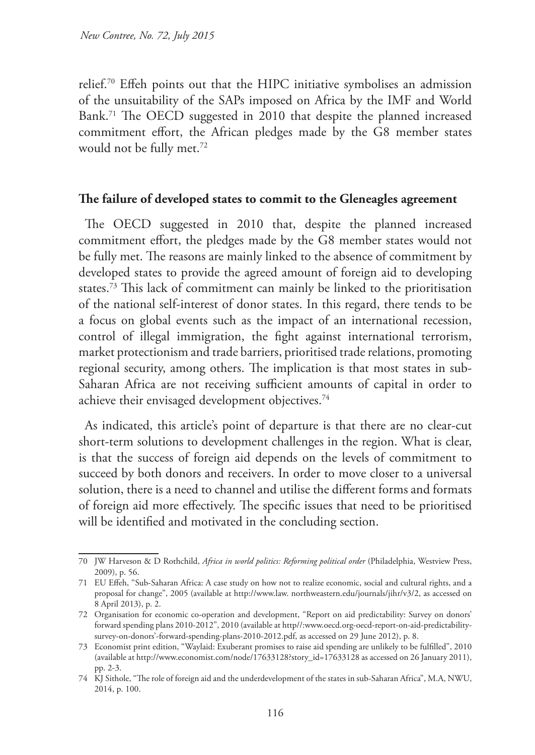relief.70 Effeh points out that the HIPC initiative symbolises an admission of the unsuitability of the SAPs imposed on Africa by the IMF and World Bank.71 The OECD suggested in 2010 that despite the planned increased commitment effort, the African pledges made by the G8 member states would not be fully met.72

#### **The failure of developed states to commit to the Gleneagles agreement**

The OECD suggested in 2010 that, despite the planned increased commitment effort, the pledges made by the G8 member states would not be fully met. The reasons are mainly linked to the absence of commitment by developed states to provide the agreed amount of foreign aid to developing states.73 This lack of commitment can mainly be linked to the prioritisation of the national self-interest of donor states. In this regard, there tends to be a focus on global events such as the impact of an international recession, control of illegal immigration, the fight against international terrorism, market protectionism and trade barriers, prioritised trade relations, promoting regional security, among others. The implication is that most states in sub-Saharan Africa are not receiving sufficient amounts of capital in order to achieve their envisaged development objectives.<sup>74</sup>

As indicated, this article's point of departure is that there are no clear-cut short-term solutions to development challenges in the region. What is clear, is that the success of foreign aid depends on the levels of commitment to succeed by both donors and receivers. In order to move closer to a universal solution, there is a need to channel and utilise the different forms and formats of foreign aid more effectively. The specific issues that need to be prioritised will be identified and motivated in the concluding section.

<sup>70</sup> JW Harveson & D Rothchild, *Africa in world politics: Reforming political order* (Philadelphia, Westview Press, 2009), p. 56.

<sup>71</sup> EU Effeh, "Sub-Saharan Africa: A case study on how not to realize economic, social and cultural rights, and a proposal for change", 2005 (available at http://www.law. northweastern.edu/journals/jihr/v3/2, as accessed on 8 April 2013), p. 2.

<sup>72</sup> Organisation for economic co-operation and development, "Report on aid predictability: Survey on donors' forward spending plans 2010-2012", 2010 (available at http//:www.oecd.org-oecd-report-on-aid-predictabilitysurvey-on-donors'-forward-spending-plans-2010-2012.pdf, as accessed on 29 June 2012), p. 8.

<sup>73</sup> Economist print edition, "Waylaid: Exuberant promises to raise aid spending are unlikely to be fulfilled", 2010 (available at http://www.economist.com/node/17633128?story\_id=17633128 as accessed on 26 January 2011), pp. 2-3.

<sup>74</sup> KJ Sithole, "The role of foreign aid and the underdevelopment of the states in sub-Saharan Africa", M.A, NWU, 2014, p. 100.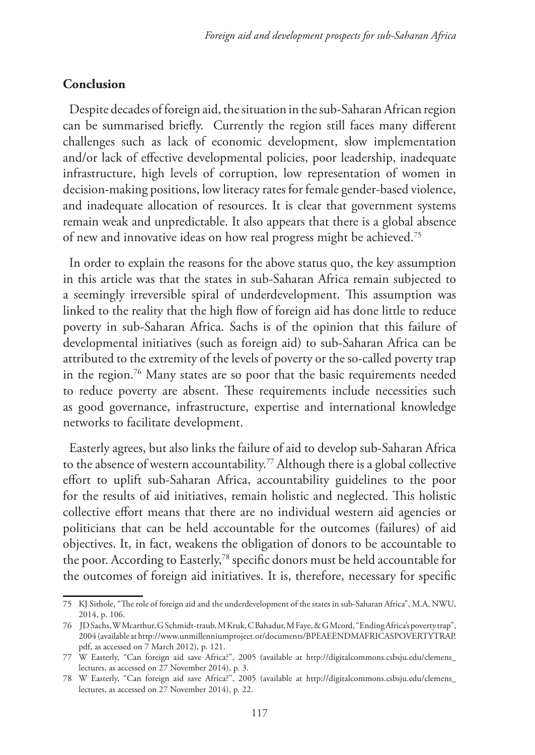#### **Conclusion**

Despite decades of foreign aid, the situation in the sub-Saharan African region can be summarised briefly. Currently the region still faces many different challenges such as lack of economic development, slow implementation and/or lack of effective developmental policies, poor leadership, inadequate infrastructure, high levels of corruption, low representation of women in decision-making positions, low literacy rates for female gender-based violence, and inadequate allocation of resources. It is clear that government systems remain weak and unpredictable. It also appears that there is a global absence of new and innovative ideas on how real progress might be achieved.75

In order to explain the reasons for the above status quo, the key assumption in this article was that the states in sub-Saharan Africa remain subjected to a seemingly irreversible spiral of underdevelopment. This assumption was linked to the reality that the high flow of foreign aid has done little to reduce poverty in sub-Saharan Africa. Sachs is of the opinion that this failure of developmental initiatives (such as foreign aid) to sub-Saharan Africa can be attributed to the extremity of the levels of poverty or the so-called poverty trap in the region.76 Many states are so poor that the basic requirements needed to reduce poverty are absent. These requirements include necessities such as good governance, infrastructure, expertise and international knowledge networks to facilitate development.

Easterly agrees, but also links the failure of aid to develop sub-Saharan Africa to the absence of western accountability.77 Although there is a global collective effort to uplift sub-Saharan Africa, accountability guidelines to the poor for the results of aid initiatives, remain holistic and neglected. This holistic collective effort means that there are no individual western aid agencies or politicians that can be held accountable for the outcomes (failures) of aid objectives. It, in fact, weakens the obligation of donors to be accountable to the poor. According to Easterly,78 specific donors must be held accountable for the outcomes of foreign aid initiatives. It is, therefore, necessary for specific

<sup>75</sup> KJ Sithole, "The role of foreign aid and the underdevelopment of the states in sub-Saharan Africa", M.A, NWU, 2014, p. 106.

<sup>76</sup> JD Sachs, W Mcarthur, G Schmidt-traub, M Kruk, C Bahadur, M Faye, & G Mcord, "Ending Africa's poverty trap", 2004 (available at http://www.unmillenniumproject.or/documents/BPEAEENDMAFRICASPOVERTYTRAP. pdf, as accessed on 7 March 2012), p. 121.

<sup>77</sup> W Easterly, "Can foreign aid save Africa?", 2005 (available at http://digitalcommons.csbsju.edu/clemens\_ lectures, as accessed on 27 November 2014), p. 3.

<sup>78</sup> W Easterly, "Can foreign aid save Africa?", 2005 (available at http://digitalcommons.csbsju.edu/clemens\_ lectures, as accessed on 27 November 2014), p. 22.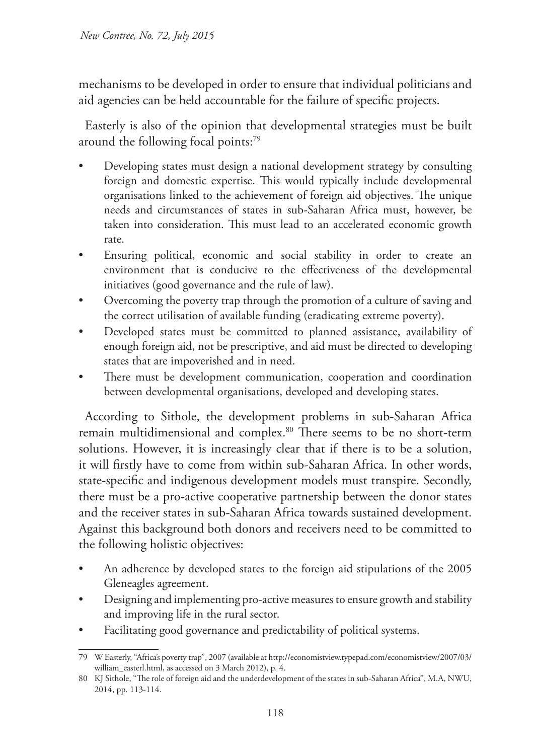mechanisms to be developed in order to ensure that individual politicians and aid agencies can be held accountable for the failure of specific projects.

Easterly is also of the opinion that developmental strategies must be built around the following focal points:<sup>79</sup>

- Developing states must design a national development strategy by consulting foreign and domestic expertise. This would typically include developmental organisations linked to the achievement of foreign aid objectives. The unique needs and circumstances of states in sub-Saharan Africa must, however, be taken into consideration. This must lead to an accelerated economic growth rate.
- Ensuring political, economic and social stability in order to create an environment that is conducive to the effectiveness of the developmental initiatives (good governance and the rule of law).
- Overcoming the poverty trap through the promotion of a culture of saving and the correct utilisation of available funding (eradicating extreme poverty).
- Developed states must be committed to planned assistance, availability of enough foreign aid, not be prescriptive, and aid must be directed to developing states that are impoverished and in need.
- There must be development communication, cooperation and coordination between developmental organisations, developed and developing states.

According to Sithole, the development problems in sub-Saharan Africa remain multidimensional and complex.80 There seems to be no short-term solutions. However, it is increasingly clear that if there is to be a solution, it will firstly have to come from within sub-Saharan Africa. In other words, state-specific and indigenous development models must transpire. Secondly, there must be a pro-active cooperative partnership between the donor states and the receiver states in sub-Saharan Africa towards sustained development. Against this background both donors and receivers need to be committed to the following holistic objectives:

- An adherence by developed states to the foreign aid stipulations of the 2005 Gleneagles agreement.
- Designing and implementing pro-active measures to ensure growth and stability and improving life in the rural sector.
- Facilitating good governance and predictability of political systems.

<sup>79</sup> W Easterly, "Africa's poverty trap", 2007 (available at http://economistview.typepad.com/economistview/2007/03/ william\_easterl.html, as accessed on 3 March 2012), p. 4.

<sup>80</sup> KJ Sithole, "The role of foreign aid and the underdevelopment of the states in sub-Saharan Africa", M.A, NWU, 2014, pp. 113-114.